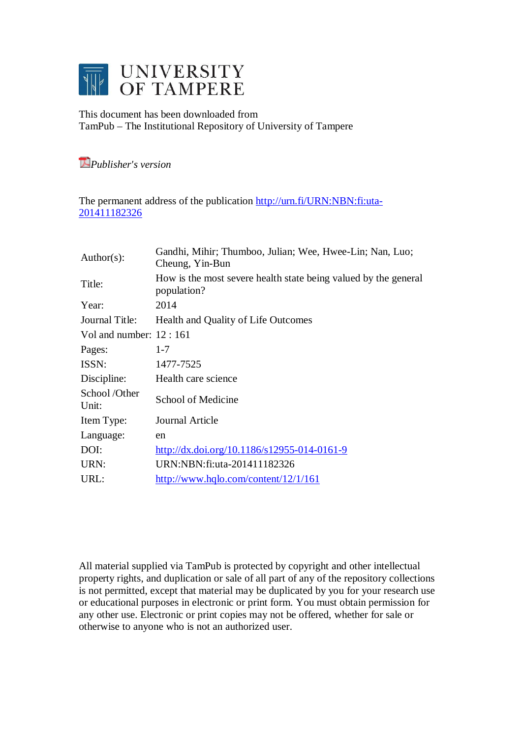

This document has been downloaded from TamPub – The Institutional Repository of University of Tampere

*Publisher's version* 

The permanent address of the publication [http://urn.fi/URN:NBN:fi:uta-](http://urn.fi/URN:NBN:fi:uta-201411182326)[201411182326](http://urn.fi/URN:NBN:fi:uta-201411182326)

| $Author(s)$ :            | Gandhi, Mihir; Thumboo, Julian; Wee, Hwee-Lin; Nan, Luo;<br>Cheung, Yin-Bun    |
|--------------------------|--------------------------------------------------------------------------------|
| Title:                   | How is the most severe health state being valued by the general<br>population? |
| Year:                    | 2014                                                                           |
| Journal Title:           | Health and Quality of Life Outcomes                                            |
| Vol and number: $12:161$ |                                                                                |
| Pages:                   | $1 - 7$                                                                        |
| ISSN:                    | 1477-7525                                                                      |
| Discipline:              | Health care science                                                            |
| School/Other<br>Unit:    | School of Medicine                                                             |
| Item Type:               | Journal Article                                                                |
| Language:                | en                                                                             |
| DOI:                     | http://dx.doi.org/10.1186/s12955-014-0161-9                                    |
| URN:                     | URN:NBN:fi:uta-201411182326                                                    |
| URL:                     | http://www.hqlo.com/content/12/1/161                                           |

All material supplied via TamPub is protected by copyright and other intellectual property rights, and duplication or sale of all part of any of the repository collections is not permitted, except that material may be duplicated by you for your research use or educational purposes in electronic or print form. You must obtain permission for any other use. Electronic or print copies may not be offered, whether for sale or otherwise to anyone who is not an authorized user.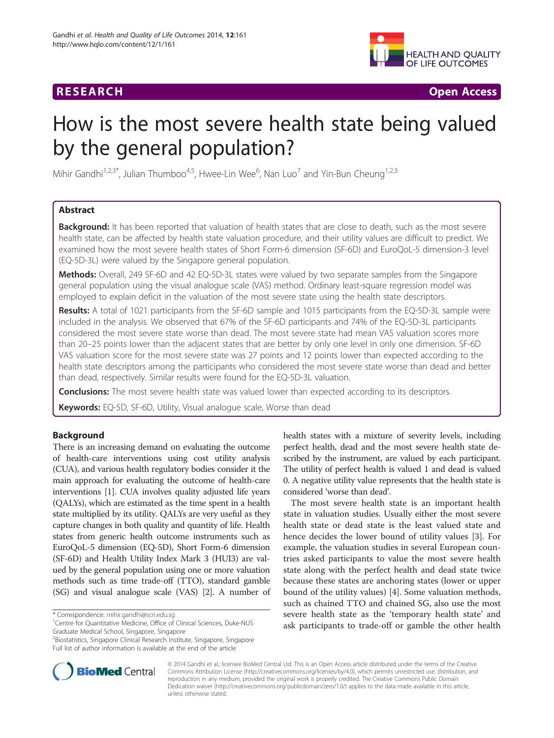# **RESEARCH CHINESE ARCH CHINESE ARCH CHINESE ARCH <b>CHINESE ARCH CHINESE ARCH CHINESE ARCH <b>CHINESE** ARCH **CHINESE ARCH** CHINESE ARCH **CHINESE ARCH 2014**



# How is the most severe health state being valued by the general population?

Mihir Gandhi $^{1,2,3^\ast}$ , Julian Thumboo $^{4,5}$ , Hwee-Lin Wee $^6$ , Nan Luo $^7$  and Yin-Bun Cheung $^{1,2,3}$ 

# Abstract

Background: It has been reported that valuation of health states that are close to death, such as the most severe health state, can be affected by health state valuation procedure, and their utility values are difficult to predict. We examined how the most severe health states of Short Form-6 dimension (SF-6D) and EuroQoL-5 dimension-3 level (EQ-5D-3L) were valued by the Singapore general population.

Methods: Overall, 249 SF-6D and 42 EQ-5D-3L states were valued by two separate samples from the Singapore general population using the visual analogue scale (VAS) method. Ordinary least-square regression model was employed to explain deficit in the valuation of the most severe state using the health state descriptors.

Results: A total of 1021 participants from the SF-6D sample and 1015 participants from the EQ-5D-3L sample were included in the analysis. We observed that 67% of the SF-6D participants and 74% of the EQ-5D-3L participants considered the most severe state worse than dead. The most severe state had mean VAS valuation scores more than 20–25 points lower than the adjacent states that are better by only one level in only one dimension. SF-6D VAS valuation score for the most severe state was 27 points and 12 points lower than expected according to the health state descriptors among the participants who considered the most severe state worse than dead and better than dead, respectively. Similar results were found for the EQ-5D-3L valuation.

**Conclusions:** The most severe health state was valued lower than expected according to its descriptors.

Keywords: EQ-5D, SF-6D, Utility, Visual analogue scale, Worse than dead

# Background

There is an increasing demand on evaluating the outcome of health-care interventions using cost utility analysis (CUA), and various health regulatory bodies consider it the main approach for evaluating the outcome of health-care interventions [\[1](#page-7-0)]. CUA involves quality adjusted life years (QALYs), which are estimated as the time spent in a health state multiplied by its utility. QALYs are very useful as they capture changes in both quality and quantity of life. Health states from generic health outcome instruments such as EuroQoL-5 dimension (EQ-5D), Short Form-6 dimension (SF-6D) and Health Utility Index Mark 3 (HUI3) are valued by the general population using one or more valuation methods such as time trade-off (TTO), standard gamble (SG) and visual analogue scale (VAS) [[2](#page-7-0)]. A number of

\* Correspondence: [mihir.gandhi@scri.edu.sg](mailto:mihir.gandhi@scri.edu.sg) <sup>1</sup>

2 Biostatistics, Singapore Clinical Research Institute, Singapore, Singapore Full list of author information is available at the end of the article



The most severe health state is an important health state in valuation studies. Usually either the most severe health state or dead state is the least valued state and hence decides the lower bound of utility values [[3\]](#page-7-0). For example, the valuation studies in several European countries asked participants to value the most severe health state along with the perfect health and dead state twice because these states are anchoring states (lower or upper bound of the utility values) [[4\]](#page-7-0). Some valuation methods, such as chained TTO and chained SG, also use the most severe health state as the 'temporary health state' and ask participants to trade-off or gamble the other health



© 2014 Gandhi et al.; licensee BioMed Central Ltd. This is an Open Access article distributed under the terms of the Creative Commons Attribution License [\(http://creativecommons.org/licenses/by/4.0\)](http://creativecommons.org/licenses/by/4.0), which permits unrestricted use, distribution, and reproduction in any medium, provided the original work is properly credited. The Creative Commons Public Domain Dedication waiver [\(http://creativecommons.org/publicdomain/zero/1.0/](http://creativecommons.org/publicdomain/zero/1.0/)) applies to the data made available in this article, unless otherwise stated.

<sup>&</sup>lt;sup>1</sup> Centre for Quantitative Medicine, Office of Clinical Sciences, Duke-NUS Graduate Medical School, Singapore, Singapore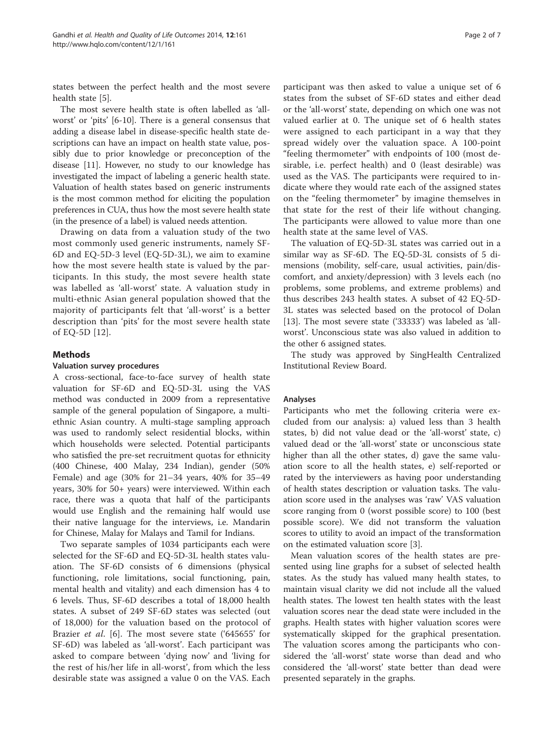states between the perfect health and the most severe health state [[5\]](#page-7-0).

The most severe health state is often labelled as 'allworst' or 'pits' [\[6-10](#page-7-0)]. There is a general consensus that adding a disease label in disease-specific health state descriptions can have an impact on health state value, possibly due to prior knowledge or preconception of the disease [\[11\]](#page-7-0). However, no study to our knowledge has investigated the impact of labeling a generic health state. Valuation of health states based on generic instruments is the most common method for eliciting the population preferences in CUA, thus how the most severe health state (in the presence of a label) is valued needs attention.

Drawing on data from a valuation study of the two most commonly used generic instruments, namely SF-6D and EQ-5D-3 level (EQ-5D-3L), we aim to examine how the most severe health state is valued by the participants. In this study, the most severe health state was labelled as 'all-worst' state. A valuation study in multi-ethnic Asian general population showed that the majority of participants felt that 'all-worst' is a better description than 'pits' for the most severe health state of EQ-5D [[12\]](#page-7-0).

## Methods

#### Valuation survey procedures

A cross-sectional, face-to-face survey of health state valuation for SF-6D and EQ-5D-3L using the VAS method was conducted in 2009 from a representative sample of the general population of Singapore, a multiethnic Asian country. A multi-stage sampling approach was used to randomly select residential blocks, within which households were selected. Potential participants who satisfied the pre-set recruitment quotas for ethnicity (400 Chinese, 400 Malay, 234 Indian), gender (50% Female) and age (30% for 21–34 years, 40% for 35–49 years, 30% for 50+ years) were interviewed. Within each race, there was a quota that half of the participants would use English and the remaining half would use their native language for the interviews, i.e. Mandarin for Chinese, Malay for Malays and Tamil for Indians.

Two separate samples of 1034 participants each were selected for the SF-6D and EQ-5D-3L health states valuation. The SF-6D consists of 6 dimensions (physical functioning, role limitations, social functioning, pain, mental health and vitality) and each dimension has 4 to 6 levels. Thus, SF-6D describes a total of 18,000 health states. A subset of 249 SF-6D states was selected (out of 18,000) for the valuation based on the protocol of Brazier *et al.* [\[6](#page-7-0)]. The most severe state ('645655' for SF-6D) was labeled as 'all-worst'. Each participant was asked to compare between 'dying now' and 'living for the rest of his/her life in all-worst', from which the less desirable state was assigned a value 0 on the VAS. Each

participant was then asked to value a unique set of 6 states from the subset of SF-6D states and either dead or the 'all-worst' state, depending on which one was not valued earlier at 0. The unique set of 6 health states were assigned to each participant in a way that they spread widely over the valuation space. A 100-point "feeling thermometer" with endpoints of 100 (most desirable, i.e. perfect health) and 0 (least desirable) was used as the VAS. The participants were required to indicate where they would rate each of the assigned states on the "feeling thermometer" by imagine themselves in that state for the rest of their life without changing. The participants were allowed to value more than one health state at the same level of VAS.

The valuation of EQ-5D-3L states was carried out in a similar way as SF-6D. The EQ-5D-3L consists of 5 dimensions (mobility, self-care, usual activities, pain/discomfort, and anxiety/depression) with 3 levels each (no problems, some problems, and extreme problems) and thus describes 243 health states. A subset of 42 EQ-5D-3L states was selected based on the protocol of Dolan [[13\]](#page-7-0). The most severe state ('33333') was labeled as 'allworst'. Unconscious state was also valued in addition to the other 6 assigned states.

The study was approved by SingHealth Centralized Institutional Review Board.

#### Analyses

Participants who met the following criteria were excluded from our analysis: a) valued less than 3 health states, b) did not value dead or the 'all-worst' state, c) valued dead or the 'all-worst' state or unconscious state higher than all the other states, d) gave the same valuation score to all the health states, e) self-reported or rated by the interviewers as having poor understanding of health states description or valuation tasks. The valuation score used in the analyses was 'raw' VAS valuation score ranging from 0 (worst possible score) to 100 (best possible score). We did not transform the valuation scores to utility to avoid an impact of the transformation on the estimated valuation score [\[3\]](#page-7-0).

Mean valuation scores of the health states are presented using line graphs for a subset of selected health states. As the study has valued many health states, to maintain visual clarity we did not include all the valued health states. The lowest ten health states with the least valuation scores near the dead state were included in the graphs. Health states with higher valuation scores were systematically skipped for the graphical presentation. The valuation scores among the participants who considered the 'all-worst' state worse than dead and who considered the 'all-worst' state better than dead were presented separately in the graphs.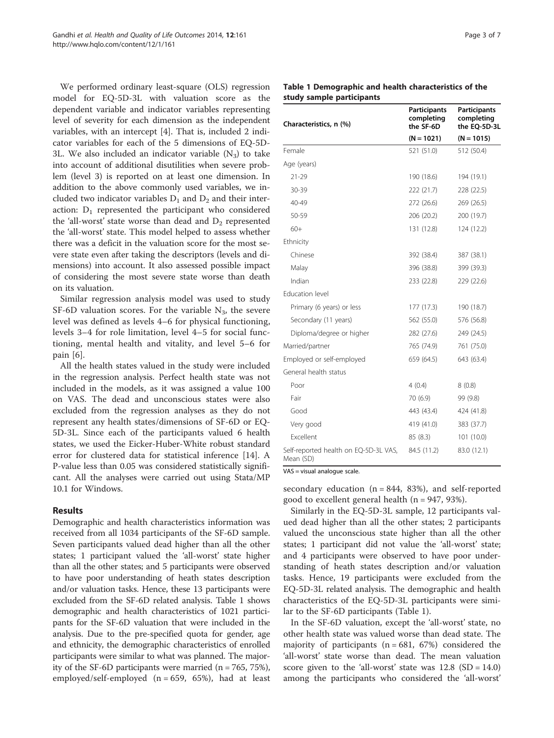We performed ordinary least-square (OLS) regression model for EQ-5D-3L with valuation score as the dependent variable and indicator variables representing level of severity for each dimension as the independent variables, with an intercept [[4\]](#page-7-0). That is, included 2 indicator variables for each of the 5 dimensions of EQ-5D-3L. We also included an indicator variable  $(N_3)$  to take into account of additional disutilities when severe problem (level 3) is reported on at least one dimension. In addition to the above commonly used variables, we included two indicator variables  $D_1$  and  $D_2$  and their interaction:  $D_1$  represented the participant who considered the 'all-worst' state worse than dead and  $D<sub>2</sub>$  represented the 'all-worst' state. This model helped to assess whether there was a deficit in the valuation score for the most severe state even after taking the descriptors (levels and dimensions) into account. It also assessed possible impact of considering the most severe state worse than death on its valuation.

Similar regression analysis model was used to study SF-6D valuation scores. For the variable  $N_3$ , the severe level was defined as levels 4–6 for physical functioning, levels 3–4 for role limitation, level 4–5 for social functioning, mental health and vitality, and level 5–6 for pain [[6\]](#page-7-0).

All the health states valued in the study were included in the regression analysis. Perfect health state was not included in the models, as it was assigned a value 100 on VAS. The dead and unconscious states were also excluded from the regression analyses as they do not represent any health states/dimensions of SF-6D or EQ-5D-3L. Since each of the participants valued 6 health states, we used the Eicker-Huber-White robust standard error for clustered data for statistical inference [\[14\]](#page-7-0). A P-value less than 0.05 was considered statistically significant. All the analyses were carried out using Stata/MP 10.1 for Windows.

## Results

Demographic and health characteristics information was received from all 1034 participants of the SF-6D sample. Seven participants valued dead higher than all the other states; 1 participant valued the 'all-worst' state higher than all the other states; and 5 participants were observed to have poor understanding of heath states description and/or valuation tasks. Hence, these 13 participants were excluded from the SF-6D related analysis. Table 1 shows demographic and health characteristics of 1021 participants for the SF-6D valuation that were included in the analysis. Due to the pre-specified quota for gender, age and ethnicity, the demographic characteristics of enrolled participants were similar to what was planned. The majority of the SF-6D participants were married  $(n = 765, 75\%)$ , employed/self-employed (n = 659, 65%), had at least

| rage 3 of |  |  |  |
|-----------|--|--|--|
|-----------|--|--|--|

### Table 1 Demographic and health characteristics of the study sample participants

| Characteristics, n (%)                             | Participants<br>completing<br>the SF-6D | Participants<br>completing<br>the EQ-5D-3L |
|----------------------------------------------------|-----------------------------------------|--------------------------------------------|
|                                                    | $(N = 1021)$                            | $(N = 1015)$                               |
| Female                                             | 521 (51.0)                              | 512 (50.4)                                 |
| Age (years)                                        |                                         |                                            |
| 21-29                                              | 190 (18.6)                              | 194 (19.1)                                 |
| 30-39                                              | 222 (21.7)                              | 228 (22.5)                                 |
| 40-49                                              | 272 (26.6)                              | 269 (26.5)                                 |
| 50-59                                              | 206 (20.2)                              | 200 (19.7)                                 |
| $60+$                                              | 131 (12.8)                              | 124 (12.2)                                 |
| Ethnicity                                          |                                         |                                            |
| Chinese                                            | 392 (38.4)                              | 387 (38.1)                                 |
| Malay                                              | 396 (38.8)                              | 399 (39.3)                                 |
| Indian                                             | 233 (22.8)                              | 229 (22.6)                                 |
| Education level                                    |                                         |                                            |
| Primary (6 years) or less                          | 177 (17.3)                              | 190 (18.7)                                 |
| Secondary (11 years)                               | 562 (55.0)                              | 576 (56.8)                                 |
| Diploma/degree or higher                           | 282 (27.6)                              | 249 (24.5)                                 |
| Married/partner                                    | 765 (74.9)                              | 761 (75.0)                                 |
| Employed or self-employed                          | 659 (64.5)                              | 643 (63.4)                                 |
| General health status                              |                                         |                                            |
| Poor                                               | 4(0.4)                                  | 8(0.8)                                     |
| Fair                                               | 70 (6.9)                                | 99 (9.8)                                   |
| Good                                               | 443 (43.4)                              | 424 (41.8)                                 |
| Very good                                          | 419 (41.0)                              | 383 (37.7)                                 |
| <b>Fxcellent</b>                                   | 85 (8.3)                                | 101(10.0)                                  |
| Self-reported health on EQ-5D-3L VAS,<br>Mean (SD) | 84.5 (11.2)                             | 83.0 (12.1)                                |

VAS = visual analogue scale.

secondary education  $(n = 844, 83%)$ , and self-reported good to excellent general health (n = 947, 93%).

Similarly in the EQ-5D-3L sample, 12 participants valued dead higher than all the other states; 2 participants valued the unconscious state higher than all the other states; 1 participant did not value the 'all-worst' state; and 4 participants were observed to have poor understanding of heath states description and/or valuation tasks. Hence, 19 participants were excluded from the EQ-5D-3L related analysis. The demographic and health characteristics of the EQ-5D-3L participants were similar to the SF-6D participants (Table 1).

In the SF-6D valuation, except the 'all-worst' state, no other health state was valued worse than dead state. The majority of participants ( $n = 681, 67%$ ) considered the 'all-worst' state worse than dead. The mean valuation score given to the 'all-worst' state was  $12.8$  (SD = 14.0) among the participants who considered the 'all-worst'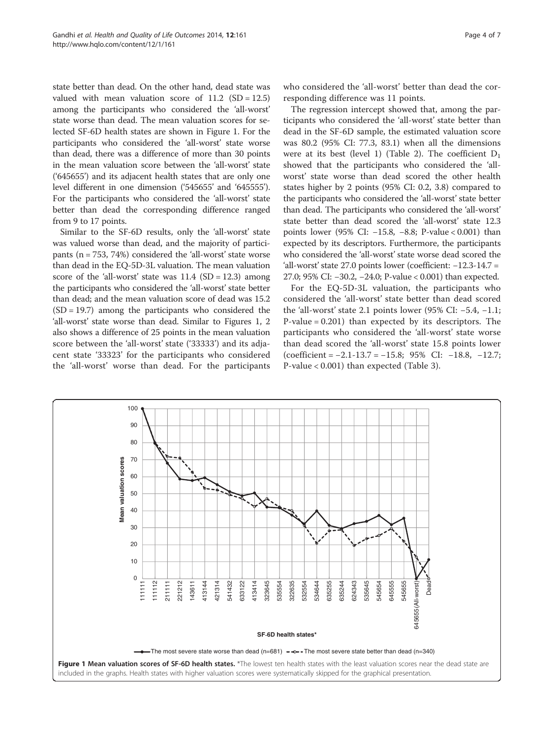state better than dead. On the other hand, dead state was valued with mean valuation score of  $11.2$  (SD = 12.5) among the participants who considered the 'all-worst' state worse than dead. The mean valuation scores for selected SF-6D health states are shown in Figure 1. For the participants who considered the 'all-worst' state worse than dead, there was a difference of more than 30 points in the mean valuation score between the 'all-worst' state ('645655') and its adjacent health states that are only one level different in one dimension ('545655' and '645555'). For the participants who considered the 'all-worst' state better than dead the corresponding difference ranged from 9 to 17 points.

Similar to the SF-6D results, only the 'all-worst' state was valued worse than dead, and the majority of participants (n = 753, 74%) considered the 'all-worst' state worse than dead in the EQ-5D-3L valuation. The mean valuation score of the 'all-worst' state was  $11.4$  (SD = 12.3) among the participants who considered the 'all-worst' state better than dead; and the mean valuation score of dead was 15.2  $(SD = 19.7)$  among the participants who considered the 'all-worst' state worse than dead. Similar to Figures 1, [2](#page-5-0) also shows a difference of 25 points in the mean valuation score between the 'all-worst' state ('33333') and its adjacent state '33323' for the participants who considered the 'all-worst' worse than dead. For the participants

who considered the 'all-worst' better than dead the corresponding difference was 11 points.

The regression intercept showed that, among the participants who considered the 'all-worst' state better than dead in the SF-6D sample, the estimated valuation score was 80.2 (95% CI: 77.3, 83.1) when all the dimensions were at its best (level 1) (Table [2](#page-6-0)). The coefficient  $D_1$ showed that the participants who considered the 'allworst' state worse than dead scored the other health states higher by 2 points (95% CI: 0.2, 3.8) compared to the participants who considered the 'all-worst' state better than dead. The participants who considered the 'all-worst' state better than dead scored the 'all-worst' state 12.3 points lower (95% CI: -15.8, -8.8; P-value < 0.001) than expected by its descriptors. Furthermore, the participants who considered the 'all-worst' state worse dead scored the 'all-worst' state 27.0 points lower (coefficient:  $-12.3-14.7 =$ 27.0; 95% CI: −30.2, −24.0; P-value < 0.001) than expected.

For the EQ-5D-3L valuation, the participants who considered the 'all-worst' state better than dead scored the 'all-worst' state 2.1 points lower (95% CI: −5.4, −1.1; P-value = 0.201) than expected by its descriptors. The participants who considered the 'all-worst' state worse than dead scored the 'all-worst' state 15.8 points lower (coefficient = −2.1-13.7 = −15.8; 95% CI: −18.8, −12.7; P-value < 0.001) than expected (Table [3](#page-6-0)).

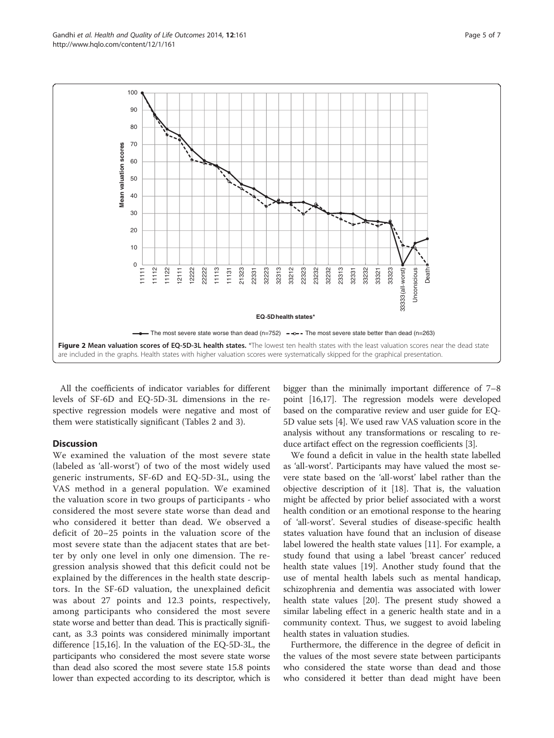<span id="page-5-0"></span>

All the coefficients of indicator variables for different levels of SF-6D and EQ-5D-3L dimensions in the respective regression models were negative and most of them were statistically significant (Tables [2](#page-6-0) and [3](#page-6-0)).

# Discussion

We examined the valuation of the most severe state (labeled as 'all-worst') of two of the most widely used generic instruments, SF-6D and EQ-5D-3L, using the VAS method in a general population. We examined the valuation score in two groups of participants - who considered the most severe state worse than dead and who considered it better than dead. We observed a deficit of 20–25 points in the valuation score of the most severe state than the adjacent states that are better by only one level in only one dimension. The regression analysis showed that this deficit could not be explained by the differences in the health state descriptors. In the SF-6D valuation, the unexplained deficit was about 27 points and 12.3 points, respectively, among participants who considered the most severe state worse and better than dead. This is practically significant, as 3.3 points was considered minimally important difference [[15,16](#page-7-0)]. In the valuation of the EQ-5D-3L, the participants who considered the most severe state worse than dead also scored the most severe state 15.8 points lower than expected according to its descriptor, which is

bigger than the minimally important difference of 7–8 point [\[16,17\]](#page-7-0). The regression models were developed based on the comparative review and user guide for EQ-5D value sets [[4\]](#page-7-0). We used raw VAS valuation score in the analysis without any transformations or rescaling to reduce artifact effect on the regression coefficients [\[3](#page-7-0)].

We found a deficit in value in the health state labelled as 'all-worst'. Participants may have valued the most severe state based on the 'all-worst' label rather than the objective description of it [\[18\]](#page-7-0). That is, the valuation might be affected by prior belief associated with a worst health condition or an emotional response to the hearing of 'all-worst'. Several studies of disease-specific health states valuation have found that an inclusion of disease label lowered the health state values [[11\]](#page-7-0). For example, a study found that using a label 'breast cancer' reduced health state values [\[19\]](#page-7-0). Another study found that the use of mental health labels such as mental handicap, schizophrenia and dementia was associated with lower health state values [\[20](#page-7-0)]. The present study showed a similar labeling effect in a generic health state and in a community context. Thus, we suggest to avoid labeling health states in valuation studies.

Furthermore, the difference in the degree of deficit in the values of the most severe state between participants who considered the state worse than dead and those who considered it better than dead might have been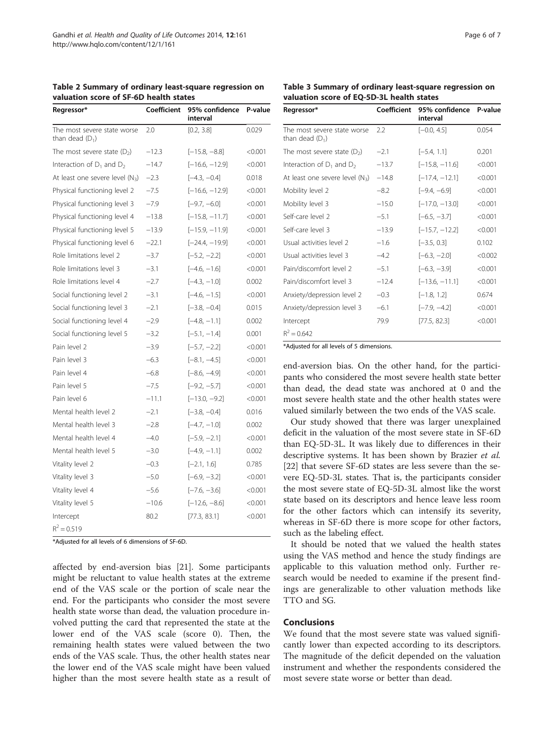| Regressor*                                       | Coefficient | 95% confidence<br>interval | P-value |
|--------------------------------------------------|-------------|----------------------------|---------|
| The most severe state worse<br>than dead $(D_1)$ | 2.0         | [0.2, 3.8]                 | 0.029   |
| The most severe state $(D_2)$                    | $-12.3$     | $[-15.8, -8.8]$            | < 0.001 |
| Interaction of $D_1$ and $D_2$                   | $-14.7$     | $[-16.6, -12.9]$           | < 0.001 |
| At least one severe level $(N_3)$                | $-2.3$      | $[-4.3, -0.4]$             | 0.018   |
| Physical functioning level 2                     | $-7.5$      | $[-16.6, -12.9]$           | < 0.001 |
| Physical functioning level 3                     | $-7.9$      | $[-9.7, -6.0]$             | < 0.001 |
| Physical functioning level 4                     | $-13.8$     | $[-15.8, -11.7]$           | < 0.001 |
| Physical functioning level 5                     | $-13.9$     | $[-15.9, -11.9]$           | < 0.001 |
| Physical functioning level 6                     | $-22.1$     | $[-24.4, -19.9]$           | < 0.001 |
| Role limitations level 2                         | $-3.7$      | $[-5.2, -2.2]$             | < 0.001 |
| Role limitations level 3                         | $-3.1$      | $[-4.6, -1.6]$             | < 0.001 |
| Role limitations level 4                         | $-2.7$      | $[-4.3, -1.0]$             | 0.002   |
| Social functioning level 2                       | $-3.1$      | $[-4.6, -1.5]$             | < 0.001 |
| Social functioning level 3                       | $-2.1$      | $[-3.8, -0.4]$             | 0.015   |
| Social functioning level 4                       | $-2.9$      | $[-4.8, -1.1]$             | 0.002   |
| Social functioning level 5                       | $-3.2$      | $[-5.1, -1.4]$             | 0.001   |
| Pain level 2                                     | $-3.9$      | $[-5.7, -2.2]$             | < 0.001 |
| Pain level 3                                     | $-6.3$      | $[-8.1, -4.5]$             | < 0.001 |
| Pain level 4                                     | $-6.8$      | $[-8.6, -4.9]$             | < 0.001 |
| Pain level 5                                     | $-7.5$      | $[-9.2, -5.7]$             | < 0.001 |
| Pain level 6                                     | $-11.1$     | $[-13.0, -9.2]$            | < 0.001 |
| Mental health level 2                            | $-2.1$      | $[-3.8, -0.4]$             | 0.016   |
| Mental health level 3                            | $-2.8$      | $[-4.7, -1.0]$             | 0.002   |
| Mental health level 4                            | $-4.0$      | $[-5.9, -2.1]$             | < 0.001 |
| Mental health level 5                            | $-3.0$      | $[-4.9, -1.1]$             | 0.002   |
| Vitality level 2                                 | $-0.3$      | $[-2.1, 1.6]$              | 0.785   |
| Vitality level 3                                 | $-5.0$      | $[-6.9, -3.2]$             | < 0.001 |
| Vitality level 4                                 | $-5.6$      | $[-7.6, -3.6]$             | < 0.001 |
| Vitality level 5                                 | $-10.6$     | $[-12.6, -8.6]$            | < 0.001 |
| Intercept                                        | 80.2        | [77.3, 83.1]               | < 0.001 |
| $R^2 = 0.519$                                    |             |                            |         |

<span id="page-6-0"></span>Table 2 Summary of ordinary least-square regression on valuation score of SF-6D health states

\*Adjusted for all levels of 6 dimensions of SF-6D.

affected by end-aversion bias [[21\]](#page-7-0). Some participants might be reluctant to value health states at the extreme end of the VAS scale or the portion of scale near the end. For the participants who consider the most severe health state worse than dead, the valuation procedure involved putting the card that represented the state at the lower end of the VAS scale (score 0). Then, the remaining health states were valued between the two ends of the VAS scale. Thus, the other health states near the lower end of the VAS scale might have been valued higher than the most severe health state as a result of

Table 3 Summary of ordinary least-square regression on valuation score of EQ-5D-3L health states

| Regressor*                                       | Coefficient | 95% confidence<br>interval | P-value |
|--------------------------------------------------|-------------|----------------------------|---------|
| The most severe state worse<br>than dead $(D_1)$ | 2.2         | $[-0.0, 4.5]$              | 0.054   |
| The most severe state $(D_2)$                    | $-2.1$      | $[-5.4, 1.1]$              | 0.201   |
| Interaction of $D_1$ and $D_2$                   | $-13.7$     | $[-15.8, -11.6]$           | < 0.001 |
| At least one severe level $(N_3)$                | $-14.8$     | $[-17.4, -12.1]$           | < 0.001 |
| Mobility level 2                                 | $-8.2$      | $[-9.4, -6.9]$             | < 0.001 |
| Mobility level 3                                 | $-15.0$     | $[-17.0, -13.0]$           | < 0.001 |
| Self-care level 2                                | $-5.1$      | $[-6.5, -3.7]$             | < 0.001 |
| Self-care level 3                                | $-13.9$     | $[-15.7, -12.2]$           | < 0.001 |
| Usual activities level 2                         | $-1.6$      | $[-3.5, 0.3]$              | 0.102   |
| Usual activities level 3                         | $-4.2$      | $[-6.3, -2.0]$             | < 0.002 |
| Pain/discomfort level 2                          | $-5.1$      | $[-6.3, -3.9]$             | < 0.001 |
| Pain/discomfort level 3                          | $-12.4$     | $[-13.6, -11.1]$           | < 0.001 |
| Anxiety/depression level 2                       | $-0.3$      | $[-1.8, 1.2]$              | 0.674   |
| Anxiety/depression level 3                       | $-6.1$      | $[-7.9, -4.2]$             | < 0.001 |
| Intercept                                        | 79.9        | [77.5, 82.3]               | < 0.001 |
| $R^2 = 0.642$                                    |             |                            |         |

\*Adjusted for all levels of 5 dimensions.

end-aversion bias. On the other hand, for the participants who considered the most severe health state better than dead, the dead state was anchored at 0 and the most severe health state and the other health states were valued similarly between the two ends of the VAS scale.

Our study showed that there was larger unexplained deficit in the valuation of the most severe state in SF-6D than EQ-5D-3L. It was likely due to differences in their descriptive systems. It has been shown by Brazier et al. [[22\]](#page-7-0) that severe SF-6D states are less severe than the severe EQ-5D-3L states. That is, the participants consider the most severe state of EQ-5D-3L almost like the worst state based on its descriptors and hence leave less room for the other factors which can intensify its severity, whereas in SF-6D there is more scope for other factors, such as the labeling effect.

It should be noted that we valued the health states using the VAS method and hence the study findings are applicable to this valuation method only. Further research would be needed to examine if the present findings are generalizable to other valuation methods like TTO and SG.

#### Conclusions

We found that the most severe state was valued significantly lower than expected according to its descriptors. The magnitude of the deficit depended on the valuation instrument and whether the respondents considered the most severe state worse or better than dead.